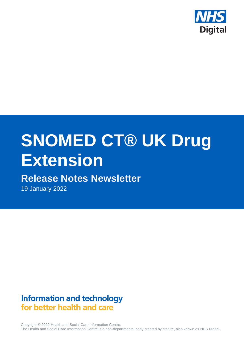

# **SNOMED CT® UK Drug Extension**

# **Release Notes Newsletter**

19 January 2022

# **Information and technology** for better health and care

Copyright © 2022 Health and Social Care Information Centre. The Health and Social Care Information Centre is a non-departmental body created by statute, also known as NHS Digital.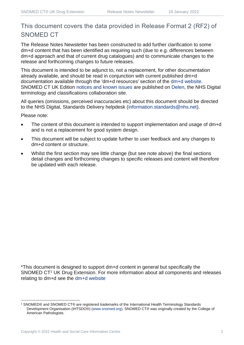# This document covers the data provided in Release Format 2 (RF2) of SNOMED CT

The Release Notes Newsletter has been constructed to add further clarification to some dm+d content that has been identified as requiring such (due to e.g. differences between dm+d approach and that of current drug catalogues) and to communicate changes to the release and forthcoming changes to future releases.

This document is intended to be adjunct to, not a replacement, for other documentation already available, and should be read in conjunction with current published dm+d documentation available through the 'dm+d resources' section of the [dm+d website.](https://www.nhsbsa.nhs.uk/pharmacies-gp-practices-and-appliance-contractors/dictionary-medicines-and-devices-dmd) SNOMED CT UK Edition [notices and known issues](https://hscic.kahootz.com/connect.ti/t_c_home/view?objectId=14224752) are published on [Delen,](https://hscic.kahootz.com/connect.ti/t_c_home) the NHS Digital terminology and classifications collaboration site.

All queries (omissions, perceived inaccuracies etc) about this document should be directed to the NHS Digital, Standards Delivery helpdesk [\(information.standards@nhs.net\)](mailto:information.standards@nhs.net).

Please note:

- The content of this document is intended to support implementation and usage of dm+d and is not a replacement for good system design.
- This document will be subject to update further to user feedback and any changes to dm+d content or structure.
- Whilst the first section may see little change (but see note above) the final sections detail changes and forthcoming changes to specific releases and content will therefore be updated with each release.

\*This document is designed to support dm+d content in general but specifically the SNOMED CT<sup>1</sup> UK Drug Extension. For more information about all components and releases relating to dm+d see the [dm+d website](https://www.nhsbsa.nhs.uk/pharmacies-gp-practices-and-appliance-contractors/dictionary-medicines-and-devices-dmd)

<sup>1</sup> SNOMED® and SNOMED CT® are registered trademarks of the International Health Terminology Standards Development Organisation (IHTSDO®) [\(www.snomed.org\)](http://www.snomed.org/). SNOMED CT® was originally created by the College of American Pathologists.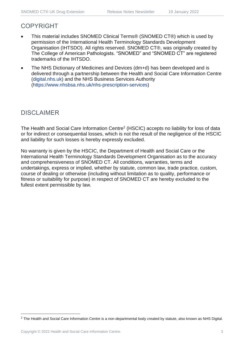## COPYRIGHT

- This material includes SNOMED Clinical Terms® (SNOMED CT®) which is used by permission of the International Health Terminology Standards Development Organisation (IHTSDO). All rights reserved. SNOMED CT®, was originally created by The College of American Pathologists. "SNOMED" and "SNOMED CT" are registered trademarks of the IHTSDO.
- The NHS Dictionary of Medicines and Devices (dm+d) has been developed and is delivered through a partnership between the Health and Social Care Information Centre [\(digital.nhs.uk\)](https://digital.nhs.uk/) and the NHS Business Services Authority [\(https://www.nhsbsa.nhs.uk/nhs-prescription-services\)](https://www.nhsbsa.nhs.uk/nhs-prescription-services)

# DISCLAIMER

The Health and Social Care Information Centre<sup>2</sup> (HSCIC) accepts no liability for loss of data or for indirect or consequential losses, which is not the result of the negligence of the HSCIC and liability for such losses is hereby expressly excluded.

No warranty is given by the HSCIC, the Department of Health and Social Care or the International Health Terminology Standards Development Organisation as to the accuracy and comprehensiveness of SNOMED CT. All conditions, warranties, terms and undertakings, express or implied, whether by statute, common law, trade practice, custom, course of dealing or otherwise (including without limitation as to quality, performance or fitness or suitability for purpose) in respect of SNOMED CT are hereby excluded to the fullest extent permissible by law.

<sup>&</sup>lt;sup>2</sup> The Health and Social Care Information Centre is a non-departmental body created by statute, also known as NHS Digital.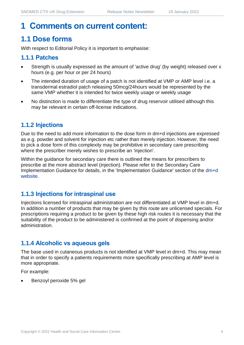# **1 Comments on current content:**

# **1.1 Dose forms**

With respect to Editorial Policy it is important to emphasise:

#### **1.1.1 Patches**

- Strength is usually expressed as the amount of 'active drug' (by weight) released over x hours (e.g. per hour or per 24 hours)
- The intended duration of usage of a patch is not identified at VMP or AMP level i.e. a transdermal estradiol patch releasing 50mcg/24hours would be represented by the same VMP whether it is intended for twice weekly usage or weekly usage
- No distinction is made to differentiate the type of drug reservoir utilised although this may be relevant in certain off-license indications.

#### **1.1.2 Injections**

Due to the need to add more information to the dose form in dm+d injections are expressed as e.g. powder and solvent for injection etc rather than merely injection. However, the need to pick a dose form of this complexity may be prohibitive in secondary care prescribing where the prescriber merely wishes to prescribe an 'injection'.

Within the guidance for secondary care there is outlined the means for prescribers to prescribe at the more abstract level (injection). Please refer to the Secondary Care Implementation Guidance for details, in the 'Implementation Guidance' section of the [dm+d](https://www.nhsbsa.nhs.uk/pharmacies-gp-practices-and-appliance-contractors/dictionary-medicines-and-devices-dmd)  [website.](https://www.nhsbsa.nhs.uk/pharmacies-gp-practices-and-appliance-contractors/dictionary-medicines-and-devices-dmd)

#### **1.1.3 Injections for intraspinal use**

Injections licensed for intraspinal administration are not differentiated at VMP level in dm+d. In addition a number of products that may be given by this route are unlicensed specials. For prescriptions requiring a product to be given by these high risk routes it is necessary that the suitability of the product to be administered is confirmed at the point of dispensing and/or administration.

#### **1.1.4 Alcoholic vs aqueous gels**

The base used in cutaneous products is not identified at VMP level in dm+d. This may mean that in order to specify a patients requirements more specifically prescribing at AMP level is more appropriate.

For example:

• Benzoyl peroxide 5% gel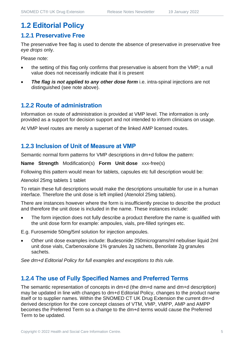# **1.2 Editorial Policy**

#### **1.2.1 Preservative Free**

The preservative free flag is used to denote the absence of preservative in preservative free *eye drops* only.

Please note:

- the setting of this flag only confirms that preservative is absent from the VMP; a null value does not necessarily indicate that it is present
- **The flag is not applied to any other dose form** i.e. intra-spinal injections are not distinguished (see note above).

#### **1.2.2 Route of administration**

Information on route of administration is provided at VMP level. The information is only provided as a support for decision support and not intended to inform clinicians on usage.

At VMP level routes are merely a superset of the linked AMP licensed routes.

#### **1.2.3 Inclusion of Unit of Measure at VMP**

Semantic normal form patterns for VMP descriptions in dm+d follow the pattern:

**Name Strength** Modification(s) **Form Unit dose** xxx-free(s)

Following this pattern would mean for tablets, capsules etc full description would be:

Atenolol 25mg tablets 1 tablet

To retain these full descriptions would make the descriptions unsuitable for use in a human interface. Therefore the unit dose is left implied (Atenolol 25mg tablets).

There are instances however where the form is insufficiently precise to describe the product and therefore the unit dose is included in the name. These instances include:

The form injection does not fully describe a product therefore the name is qualified with the unit dose form for example: ampoules, vials, pre-filled syringes etc.

E.g. Furosemide 50mg/5ml solution for injection ampoules.

• Other unit dose examples include: Budesonide 250micrograms/ml nebuliser liquid 2ml unit dose vials, Carbenoxalone 1% granules 2g sachets, Benorilate 2g granules sachets.

*See dm+d Editorial Policy for full examples and exceptions to this rule.*

#### **1.2.4 The use of Fully Specified Names and Preferred Terms**

The semantic representation of concepts in dm+d (the dm+d name and dm+d description) may be updated in line with changes to dm+d Editorial Policy, changes to the product name itself or to supplier names. Within the SNOMED CT UK Drug Extension the current dm+d derived description for the core concept classes of VTM, VMP, VMPP, AMP and AMPP becomes the Preferred Term so a change to the dm+d terms would cause the Preferred Term to be updated.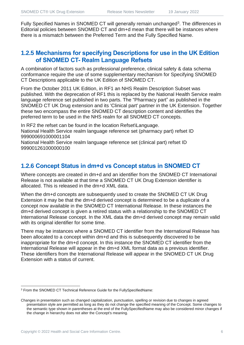Fully Specified Names in SNOMED CT will generally remain unchanged<sup>3</sup>. The differences in Editorial policies between SNOMED CT and dm+d mean that there will be instances where there is a mismatch between the Preferred Term and the Fully Specified Name.

#### **1.2.5 Mechanisms for specifying Descriptions for use in the UK Edition of SNOMED CT- Realm Language Refsets**

A combination of factors such as professional preference, clinical safety & data schema conformance require the use of some supplementary mechanism for Specifying SNOMED CT Descriptions applicable to the UK Edition of SNOMED CT.

From the October 2011 UK Edition, in RF1 an NHS Realm Description Subset was published. With the deprecation of RF1 this is replaced by the National Health Service realm language reference set published in two parts. The "Pharmacy part" as published in the SNOMED CT UK Drug extension and its 'Clinical part' partner in the UK Extension. Together these two encompass the entire SNOMED CT description content and identifies the preferred term to be used in the NHS realm for all SNOMED CT concepts.

In RF2 the refset can be found in the location Refset\Language. National Health Service realm language reference set (pharmacy part) refset ID 999000691000001104

National Health Service realm language reference set (clinical part) refset ID 999001261000000100

#### **1.2.6 Concept Status in dm+d vs Concept status in SNOMED CT**

Where concepts are created in dm+d and an identifier from the SNOMED CT International Release is not available at that time a SNOMED CT UK Drug Extension identifier is allocated. This is released in the dm+d XML data.

When the dm+d concepts are subsequently used to create the SNOMED CT UK Drug Extension it may be that the dm+d derived concept is determined to be a duplicate of a concept now available in the SNOMED CT International Release. In these instances the dm+d derived concept is given a retired status with a relationship to the SNOMED CT International Release concept. In the XML data the dm+d derived concept may remain valid with its original identifier for some time.

There may be instances where a SNOMED CT identifier from the International Release has been allocated to a concept within dm+d and this is subsequently discovered to be inappropriate for the dm+d concept. In this instance the SNOMED CT identifier from the International Release will appear in the dm+d XML format data as a previous identifier. These identifiers from the International Release will appear in the SNOMED CT UK Drug Extension with a status of current.

<sup>3</sup> From the SNOMED CT Technical Reference Guide for the FullySpecifiedName:

Changes in presentation such as changed capitalization, punctuation, spelling or revision due to changes in agreed presentation style are permitted as long as they do not change the specified meaning of the Concept. Some changes to the semantic type shown in parentheses at the end of the FullySpecifiedName may also be considered minor changes if the change in hierarchy does not alter the Concept's meaning.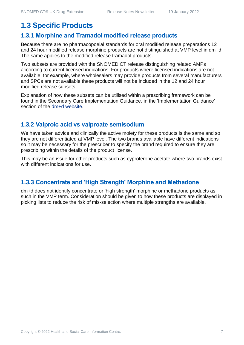# **1.3 Specific Products**

#### **1.3.1 Morphine and Tramadol modified release products**

Because there are no pharmacopoeial standards for oral modified release preparations 12 and 24 hour modified release morphine products are not distinguished at VMP level in dm+d. The same applies to the modified release tramadol products.

Two subsets are provided with the SNOMED CT release distinguishing related AMPs according to current licensed indications. For products where licensed indications are not available, for example, where wholesalers may provide products from several manufacturers and SPCs are not available these products will not be included in the 12 and 24 hour modified release subsets.

Explanation of how these subsets can be utilised within a prescribing framework can be found in the Secondary Care Implementation Guidance, in the 'Implementation Guidance' section of the [dm+d website.](https://www.nhsbsa.nhs.uk/pharmacies-gp-practices-and-appliance-contractors/dictionary-medicines-and-devices-dmd)

#### **1.3.2 Valproic acid vs valproate semisodium**

We have taken advice and clinically the active moiety for these products is the same and so they are not differentiated at VMP level. The two brands available have different indications so it may be necessary for the prescriber to specify the brand required to ensure they are prescribing within the details of the product license.

This may be an issue for other products such as cyproterone acetate where two brands exist with different indications for use.

#### **1.3.3 Concentrate and 'High Strength' Morphine and Methadone**

dm+d does not identify concentrate or 'high strength' morphine or methadone products as such in the VMP term. Consideration should be given to how these products are displayed in picking lists to reduce the risk of mis-selection where multiple strengths are available.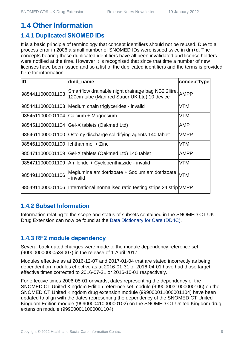# **1.4 Other Information**

# **1.4.1 Duplicated SNOMED IDs**

It is a basic principle of terminology that concept identifiers should not be reused. Due to a process error in 2006 a small number of SNOMED IDs were issued twice in dm+d. The concepts bearing these duplicated identifiers have all been invalidated and license holders were notified at the time. However it is recognised that since that time a number of new licenses have been issued and so a list of the duplicated identifiers and the terms is provided here for information.

| ID                                  | dmd_name                                                                                               | conceptType |
|-------------------------------------|--------------------------------------------------------------------------------------------------------|-------------|
| 9854411000001103                    | Smartflow drainable night drainage bag NB2 2litre, AMPP<br>120cm tube (Manfred Sauer UK Ltd) 10 device |             |
|                                     | 9854411000001103 Medium chain triglycerides - invalid                                                  | <b>VTM</b>  |
|                                     | 9854511000001104 Calcium + Magnesium                                                                   | <b>VTM</b>  |
|                                     | 9854511000001104 Gel-X tablets (Oakmed Ltd)                                                            | AMP         |
|                                     | 9854611000001100 Ostomy discharge solidifying agents 140 tablet                                        | <b>VMPP</b> |
| 9854611000001100  lchthammol + Zinc |                                                                                                        | <b>VTM</b>  |
| 9854711000001109                    | Gel-X tablets (Oakmed Ltd) 140 tablet                                                                  | <b>AMPP</b> |
| 9854711000001109                    | Amiloride + Cyclopenthiazide - invalid                                                                 | <b>VTM</b>  |
| 9854911000001106                    | Meglumine amidotrizoate + Sodium amidotrizoate<br>- invalid                                            | <b>VTM</b>  |
|                                     | 9854911000001106  International normalised ratio testing strips 24 strip VMPP                          |             |

#### **1.4.2 Subset Information**

Information relating to the scope and status of subsets contained in the SNOMED CT UK Drug Extension can now be found at the [Data Dictionary for Care \(DD4C\).](https://dd4c.digital.nhs.uk/dd4c/)

### **1.4.3 RF2 module dependency**

Several back-dated changes were made to the module dependency reference set (900000000000534007) in the release of 1 April 2017.

Modules effective as at 2016-12-07 and 2017-01-04 that are stated incorrectly as being dependent on modules effective as at 2016-01-31 or 2016-04-01 have had those target effective times corrected to 2016-07-31 or 2016-10-01 respectively.

For effective times 2006-05-01 onwards, dates representing the dependency of the SNOMED CT United Kingdom Edition reference set module (999000031000000106) on the SNOMED CT United Kingdom drug extension module (999000011000001104) have been updated to align with the dates representing the dependency of the SNOMED CT United Kingdom Edition module (999000041000000102) on the SNOMED CT United Kingdom drug extension module (999000011000001104).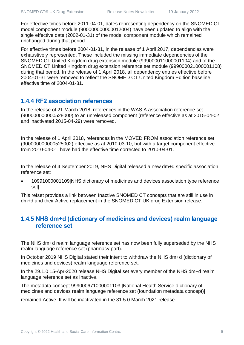For effective times before 2011-04-01, dates representing dependency on the SNOMED CT model component module (900000000000012004) have been updated to align with the single effective date (2002-01-31) of the model component module which remained unchanged during that period.

For effective times before 2004-01-31, in the release of 1 April 2017, dependencies were exhaustively represented. These included the missing immediate dependencies of the SNOMED CT United Kingdom drug extension module (999000011000001104) and of the SNOMED CT United Kingdom drug extension reference set module (999000021000001108) during that period. In the release of 1 April 2018, all dependency entries effective before 2004-01-31 were removed to reflect the SNOMED CT United Kingdom Edition baseline effective time of 2004-01-31.

#### **1.4.4 RF2 association references**

In the release of 21 March 2018, references in the WAS A association reference set (900000000000528000) to an unreleased component (reference effective as at 2015-04-02 and inactivated 2015-04-29) were removed.

In the release of 1 April 2018, references in the MOVED FROM association reference set (900000000000525002) effective as at 2010-03-10, but with a target component effective from 2010-04-01, have had the effective time corrected to 2010-04-01.

In the release of 4 September 2019, NHS Digital released a new dm+d specific association reference set:

• 10991000001109|NHS dictionary of medicines and devices association type reference set|

This refset provides a link between Inactive SNOMED CT concepts that are still in use in dm+d and their Active replacement in the SNOMED CT UK drug Extension release.

#### **1.4.5 NHS dm+d (dictionary of medicines and devices) realm language reference set**

The NHS dm+d realm language reference set has now been fully superseded by the NHS realm language reference set (pharmacy part).

In October 2019 NHS Digital stated their intent to withdraw the NHS dm+d (dictionary of medicines and devices) realm language reference set.

In the 29.1.0 15-Apr-2020 release NHS Digital set every member of the NHS dm+d realm language reference set as Inactive.

The metadata concept 999000671000001103 |National Health Service dictionary of medicines and devices realm language reference set (foundation metadata concept)|

remained Active. It will be inactivated in the 31.5.0 March 2021 release.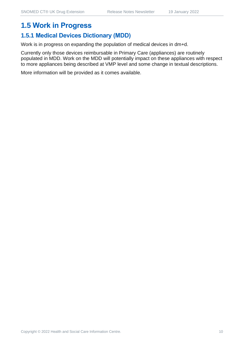## **1.5 Work in Progress**

#### **1.5.1 Medical Devices Dictionary (MDD)**

Work is in progress on expanding the population of medical devices in dm+d.

Currently only those devices reimbursable in Primary Care (appliances) are routinely populated in MDD. Work on the MDD will potentially impact on these appliances with respect to more appliances being described at VMP level and some change in textual descriptions.

More information will be provided as it comes available.